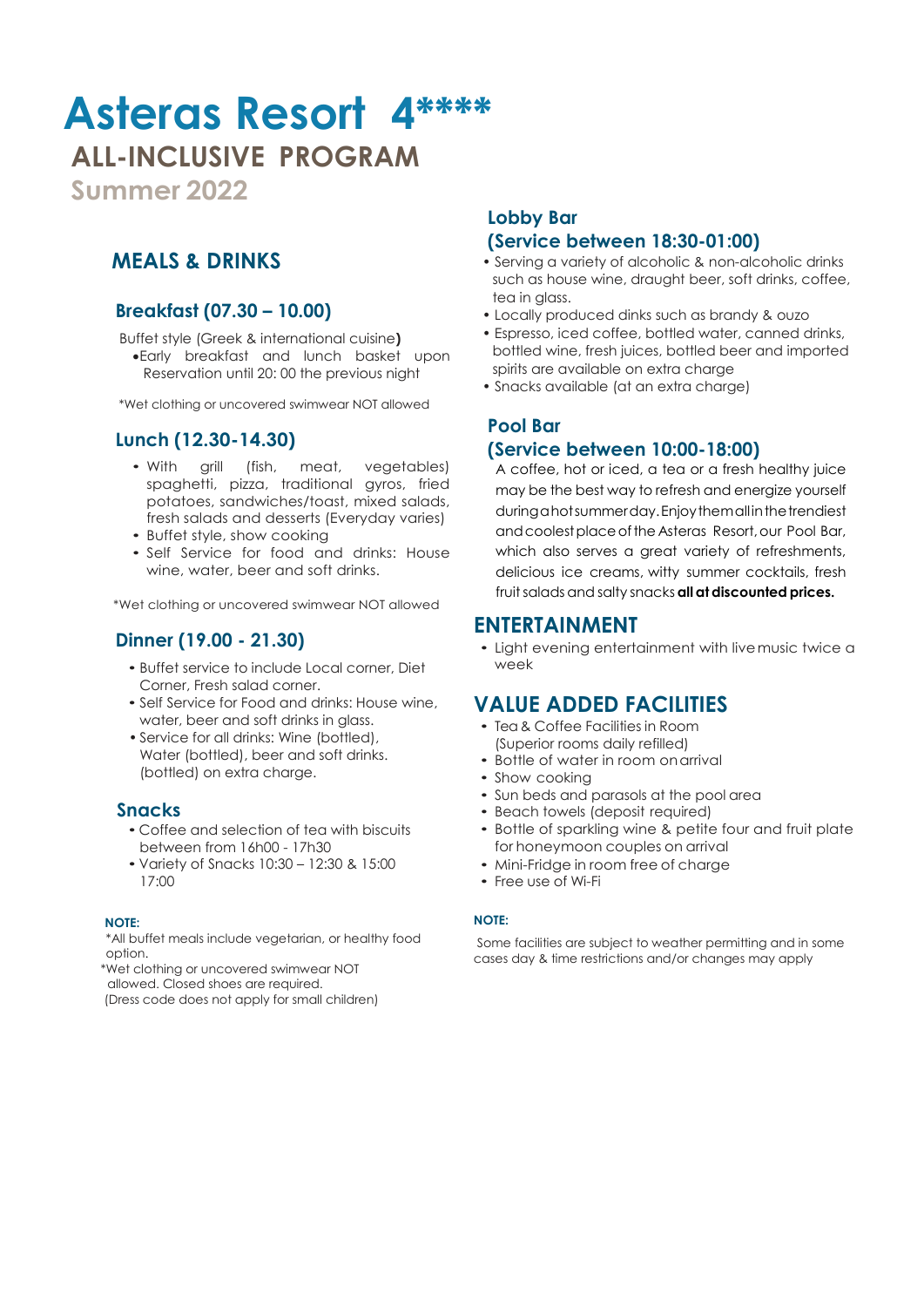# **Asteras Resort 4\*\*\*\* ALL-INCLUSIVE PROGRAM**

**Summer 2022**

# **MEALS & DRINKS**

### **Breakfast (07.30 – 10.00)**

Buffet style (Greek & international cuisine**)** Early breakfast and lunch basket upon .Reservation until 20: 00 the previous night

\*Wet clothing or uncovered swimwear NOT allowed

### **Lunch (12.30-14.30)**

- With grill (fish, meat, vegetables) spaghetti, pizza, traditional gyros, fried potatoes, sandwiches/toast, mixed salads, fresh salads and desserts (Everyday varies)
- Buffet style, show cooking
- Self Service for food and drinks: House wine, water, beer and soft drinks.

\*Wet clothing or uncovered swimwear NOT allowed

### **Dinner (19.00 - 21.30)**

- Buffet service to include Local corner, Diet Corner, Fresh salad corner.
- Self Service for Food and drinks: House wine, water, beer and soft drinks in glass.
- Service for all drinks: Wine (bottled), Water (bottled), beer and soft drinks. (bottled) on extra charge.

### **Snacks**

- Coffee and selection of tea with biscuits between from 16h00 - 17h30
- Variety of Snacks 10:30 12:30 & 15:00 17:00

#### **NOTE:**

\*All buffet meals include vegetarian, or healthy food option.

 \*Wet clothing or uncovered swimwear NOT . . allowed. Closed shoes are required.

(Dress code does not apply for small children)

### **Lobby Bar (Service between 18:30-01:00)**

- Serving a variety of alcoholic & non-alcoholic drinks such as house wine, draught beer, soft drinks, coffee, tea in glass.
- Locally produced dinks such as brandy & ouzo
- Espresso, iced coffee, bottled water, canned drinks, bottled wine, fresh juices, bottled beer and imported spirits are available on extra charge
- Snacks available (at an extra charge)

### **Pool Bar**

### **(Service between 10:00-18:00)**

A coffee, hot or iced, a tea or a fresh healthy juice may be the best way to refresh and energize yourself during a hot summer day. Enjoy themall in the trendiest andcoolestplaceofthe Asteras Resort,our Pool Bar, which also serves a great variety of refreshments, delicious ice creams, witty summer cocktails, fresh fruit salads and salty snacks **all at discounted prices.** 

### **ENTERTAINMENT**

• Light evening entertainment with livemusic twice a week

# **VALUE ADDED FACILITIES**

- Tea & Coffee Facilities in Room (Superior rooms daily refilled)
- Bottle of water in room on arrival
- Show cooking
- Sun beds and parasols at the pool area
- Beach towels (deposit required)
- Bottle of sparkling wine & petite four and fruit plate for honeymoon couples on arrival
- Mini-Fridge in room free of charge
- Free use of Wi-Fi

#### **NOTE:**

Some facilities are subject to weather permitting and in some cases day & time restrictions and/or changes may apply